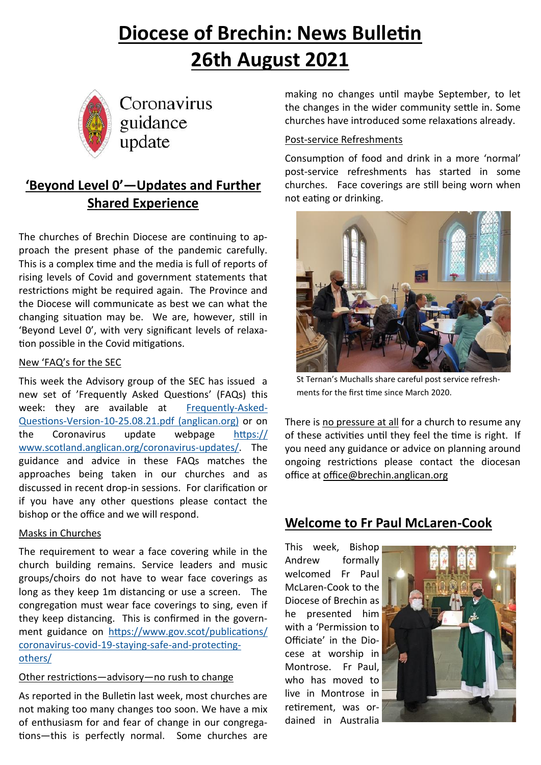# **Diocese of Brechin: News Bulletin 26th August 2021**



Coronavirus guidance update

# **'Beyond Level 0'—Updates and Further Shared Experience**

The churches of Brechin Diocese are continuing to approach the present phase of the pandemic carefully. This is a complex time and the media is full of reports of rising levels of Covid and government statements that restrictions might be required again. The Province and the Diocese will communicate as best we can what the changing situation may be. We are, however, still in 'Beyond Level 0', with very significant levels of relaxation possible in the Covid mitigations.

#### New 'FAQ's for the SEC

This week the Advisory group of the SEC has issued a new set of 'Frequently Asked Questions' (FAQs) this week: they are available at [Frequently](https://www.scotland.anglican.org/wp-content/uploads/Frequently-Asked-Questions-Version-10-25.08.21.pdf)-Asked-Questions-Version-10-[25.08.21.pdf \(anglican.org\)](https://www.scotland.anglican.org/wp-content/uploads/Frequently-Asked-Questions-Version-10-25.08.21.pdf) or on the Coronavirus update webpage [https://](https://www.scotland.anglican.org/coronavirus-updates/) [www.scotland.anglican.org/coronavirus](https://www.scotland.anglican.org/coronavirus-updates/)-updates/. The guidance and advice in these FAQs matches the approaches being taken in our churches and as discussed in recent drop-in sessions. For clarification or if you have any other questions please contact the bishop or the office and we will respond.

#### Masks in Churches

The requirement to wear a face covering while in the church building remains. Service leaders and music groups/choirs do not have to wear face coverings as long as they keep 1m distancing or use a screen. The congregation must wear face coverings to sing, even if they keep distancing. This is confirmed in the government guidance on [https://www.gov.scot/publications/](https://www.gov.scot/publications/coronavirus-covid-19-staying-safe-and-protecting-others/) [coronavirus](https://www.gov.scot/publications/coronavirus-covid-19-staying-safe-and-protecting-others/)-covid-19-staying-safe-and-protecting[others/](https://www.gov.scot/publications/coronavirus-covid-19-staying-safe-and-protecting-others/)

#### Other restrictions—advisory—no rush to change

As reported in the Bulletin last week, most churches are not making too many changes too soon. We have a mix of enthusiasm for and fear of change in our congregations—this is perfectly normal. Some churches are

making no changes until maybe September, to let the changes in the wider community settle in. Some churches have introduced some relaxations already.

#### Post-service Refreshments

Consumption of food and drink in a more 'normal' post-service refreshments has started in some churches. Face coverings are still being worn when not eating or drinking.



St Ternan's Muchalls share careful post service refreshments for the first time since March 2020.

There is no pressure at all for a church to resume any of these activities until they feel the time is right. If you need any guidance or advice on planning around ongoing restrictions please contact the diocesan office at [office@brechin.anglican.org](mailto:office@brechin.anglican.org)

# **Welcome to Fr Paul McLaren-Cook**

This week, Bishop Andrew formally welcomed Fr Paul McLaren-Cook to the Diocese of Brechin as he presented him with a 'Permission to Officiate' in the Diocese at worship in Montrose. Fr Paul, who has moved to live in Montrose in retirement, was ordained in Australia